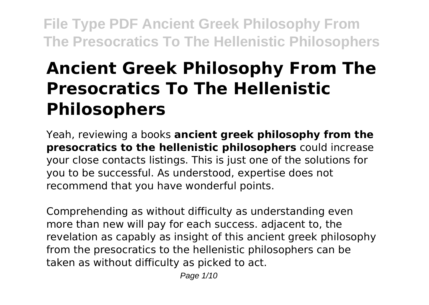# **Ancient Greek Philosophy From The Presocratics To The Hellenistic Philosophers**

Yeah, reviewing a books **ancient greek philosophy from the presocratics to the hellenistic philosophers** could increase your close contacts listings. This is just one of the solutions for you to be successful. As understood, expertise does not recommend that you have wonderful points.

Comprehending as without difficulty as understanding even more than new will pay for each success. adjacent to, the revelation as capably as insight of this ancient greek philosophy from the presocratics to the hellenistic philosophers can be taken as without difficulty as picked to act.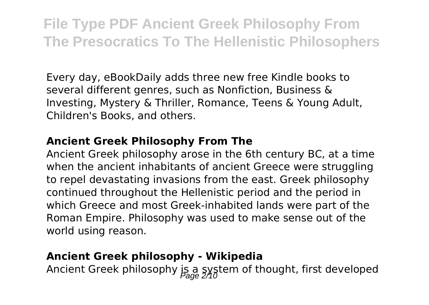Every day, eBookDaily adds three new free Kindle books to several different genres, such as Nonfiction, Business & Investing, Mystery & Thriller, Romance, Teens & Young Adult, Children's Books, and others.

#### **Ancient Greek Philosophy From The**

Ancient Greek philosophy arose in the 6th century BC, at a time when the ancient inhabitants of ancient Greece were struggling to repel devastating invasions from the east. Greek philosophy continued throughout the Hellenistic period and the period in which Greece and most Greek-inhabited lands were part of the Roman Empire. Philosophy was used to make sense out of the world using reason.

### **Ancient Greek philosophy - Wikipedia**

Ancient Greek philosophy is a system of thought, first developed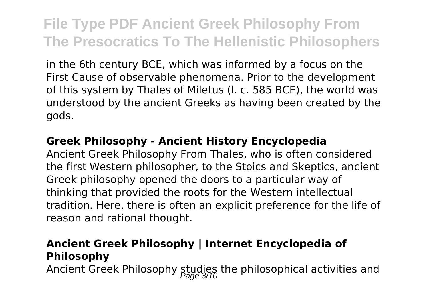in the 6th century BCE, which was informed by a focus on the First Cause of observable phenomena. Prior to the development of this system by Thales of Miletus (l. c. 585 BCE), the world was understood by the ancient Greeks as having been created by the gods.

#### **Greek Philosophy - Ancient History Encyclopedia**

Ancient Greek Philosophy From Thales, who is often considered the first Western philosopher, to the Stoics and Skeptics, ancient Greek philosophy opened the doors to a particular way of thinking that provided the roots for the Western intellectual tradition. Here, there is often an explicit preference for the life of reason and rational thought.

### **Ancient Greek Philosophy | Internet Encyclopedia of Philosophy**

Ancient Greek Philosophy studies the philosophical activities and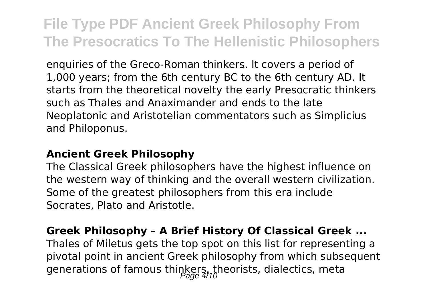enquiries of the Greco-Roman thinkers. It covers a period of 1,000 years; from the 6th century BC to the 6th century AD. It starts from the theoretical novelty the early Presocratic thinkers such as Thales and Anaximander and ends to the late Neoplatonic and Aristotelian commentators such as Simplicius and Philoponus.

### **Ancient Greek Philosophy**

The Classical Greek philosophers have the highest influence on the western way of thinking and the overall western civilization. Some of the greatest philosophers from this era include Socrates, Plato and Aristotle.

## **Greek Philosophy – A Brief History Of Classical Greek ...**

Thales of Miletus gets the top spot on this list for representing a pivotal point in ancient Greek philosophy from which subsequent generations of famous thinkers, theorists, dialectics, meta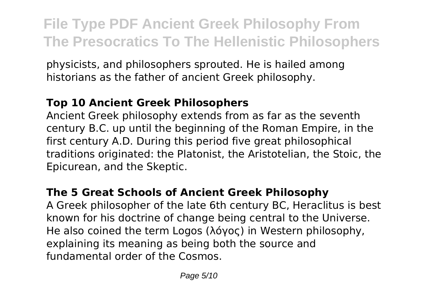physicists, and philosophers sprouted. He is hailed among historians as the father of ancient Greek philosophy.

## **Top 10 Ancient Greek Philosophers**

Ancient Greek philosophy extends from as far as the seventh century B.C. up until the beginning of the Roman Empire, in the first century A.D. During this period five great philosophical traditions originated: the Platonist, the Aristotelian, the Stoic, the Epicurean, and the Skeptic.

## **The 5 Great Schools of Ancient Greek Philosophy**

A Greek philosopher of the late 6th century BC, Heraclitus is best known for his doctrine of change being central to the Universe. He also coined the term Logos (λόγος) in Western philosophy, explaining its meaning as being both the source and fundamental order of the Cosmos.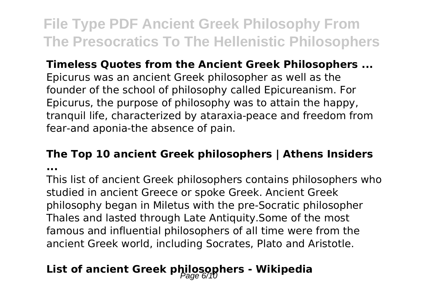**Timeless Quotes from the Ancient Greek Philosophers ...** Epicurus was an ancient Greek philosopher as well as the founder of the school of philosophy called Epicureanism. For Epicurus, the purpose of philosophy was to attain the happy, tranquil life, characterized by ataraxia-peace and freedom from fear-and aponia-the absence of pain.

## **The Top 10 ancient Greek philosophers | Athens Insiders**

**...**

This list of ancient Greek philosophers contains philosophers who studied in ancient Greece or spoke Greek. Ancient Greek philosophy began in Miletus with the pre-Socratic philosopher Thales and lasted through Late Antiquity.Some of the most famous and influential philosophers of all time were from the ancient Greek world, including Socrates, Plato and Aristotle.

## List of ancient Greek philosophers - Wikipedia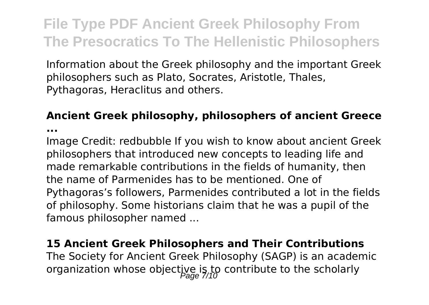Information about the Greek philosophy and the important Greek philosophers such as Plato, Socrates, Aristotle, Thales, Pythagoras, Heraclitus and others.

### **Ancient Greek philosophy, philosophers of ancient Greece**

**...**

Image Credit: redbubble If you wish to know about ancient Greek philosophers that introduced new concepts to leading life and made remarkable contributions in the fields of humanity, then the name of Parmenides has to be mentioned. One of Pythagoras's followers, Parmenides contributed a lot in the fields of philosophy. Some historians claim that he was a pupil of the famous philosopher named ...

## **15 Ancient Greek Philosophers and Their Contributions** The Society for Ancient Greek Philosophy (SAGP) is an academic organization whose objective is to contribute to the scholarly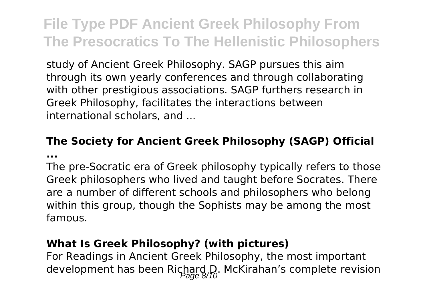study of Ancient Greek Philosophy. SAGP pursues this aim through its own yearly conferences and through collaborating with other prestigious associations. SAGP furthers research in Greek Philosophy, facilitates the interactions between international scholars, and ...

### **The Society for Ancient Greek Philosophy (SAGP) Official ...**

The pre-Socratic era of Greek philosophy typically refers to those Greek philosophers who lived and taught before Socrates. There are a number of different schools and philosophers who belong within this group, though the Sophists may be among the most famous.

### **What Is Greek Philosophy? (with pictures)**

For Readings in Ancient Greek Philosophy, the most important development has been Richard D. McKirahan's complete revision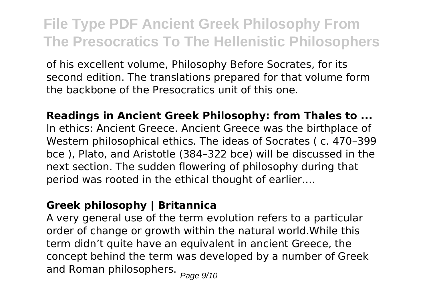of his excellent volume, Philosophy Before Socrates, for its second edition. The translations prepared for that volume form the backbone of the Presocratics unit of this one.

**Readings in Ancient Greek Philosophy: from Thales to ...** In ethics: Ancient Greece. Ancient Greece was the birthplace of Western philosophical ethics. The ideas of Socrates ( c. 470–399 bce ), Plato, and Aristotle (384–322 bce) will be discussed in the next section. The sudden flowering of philosophy during that period was rooted in the ethical thought of earlier….

## **Greek philosophy | Britannica**

A very general use of the term evolution refers to a particular order of change or growth within the natural world.While this term didn't quite have an equivalent in ancient Greece, the concept behind the term was developed by a number of Greek and Roman philosophers. Page 9/10